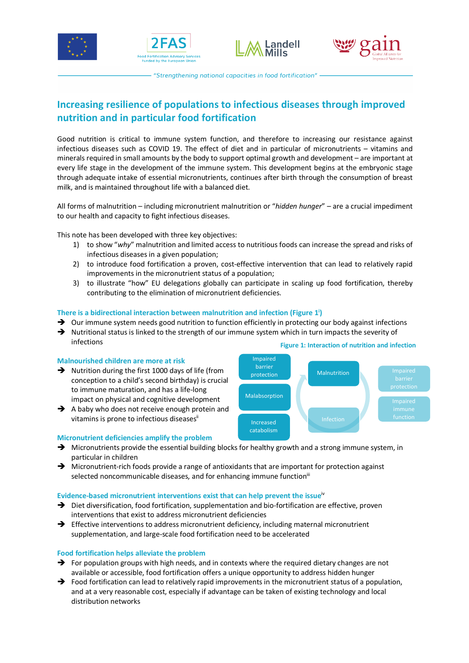







"Strengthening national capacities in food fortification" -

# **Increasing resilience of populations to infectious diseases through improved nutrition and in particular food fortification**

Good nutrition is critical to immune system function, and therefore to increasing our resistance against infectious diseases such as COVID 19. The effect of diet and in particular of micronutrients – vitamins and minerals required in small amounts by the body to support optimal growth and development – are important at every life stage in the development of the immune system. This development begins at the embryonic stage through adequate intake of essential micronutrients, continues after birth through the consumption of breast milk, and is maintained throughout life with a balanced diet.

All forms of malnutrition – including micronutrient malnutrition or "*hidden hunger*" – are a crucial impediment to our health and capacity to fight infectious diseases.

This note has been developed with three key objectives:

- 1) to show "*why*" malnutrition and limited access to nutritious foods can increase the spread and risks of infectious diseases in a given population;
- 2) to introduce food fortification a proven, cost-effective intervention that can lead to relatively rapid improvements in the micronutrient status of a population;
- 3) to illustrate "how" EU delegations globally can participate in scaling up food fortification, thereby contributing to the elimination of micronutrient deficiencies.

## **There is a bidirectional interaction between malnutrition and infection (Figure 1i )**

- $\rightarrow$  Our immune system needs good nutrition to function efficiently in protecting our body against infections
- $\rightarrow$  Nutritional status is linked to the strength of our immune system which in turn impacts the severity of infections **Figure 1: Interaction of nutrition and infection**

### **Malnourished children are more at risk**

- $\rightarrow$  Nutrition during the first 1000 days of life (from conception to a child's second birthday) is crucial to immune maturation, and has a life-long impact on physical and cognitive development
- $\rightarrow$  A baby who does not receive enough protein and vitamins is prone to infectious diseasesii

## **Micronutrient deficiencies amplify the problem**

- Malnutrition function Impaired barrier protection Malabsorption Increased catabolism
- $\rightarrow$  Micronutrients provide the essential building blocks for healthy growth and a strong immune system, in particular in children
- $\rightarrow$  Micronutrient-rich foods provide a range of antioxidants that are important for protection against selected noncommunicable diseases, and for enhancing immune function<sup>iii</sup>

#### **Evidence-based micronutrient interventions exist that can help prevent the issue**iv

- $\rightarrow$  Diet diversification, food fortification, supplementation and bio-fortification are effective, proven interventions that exist to address micronutrient deficiencies
- $\rightarrow$  Effective interventions to address micronutrient deficiency, including maternal micronutrient supplementation, and large-scale food fortification need to be accelerated

## **Food fortification helps alleviate the problem**

- $\rightarrow$  For population groups with high needs, and in contexts where the required dietary changes are not available or accessible, food fortification offers a unique opportunity to address hidden hunger
- $\rightarrow$  Food fortification can lead to relatively rapid improvements in the micronutrient status of a population, and at a very reasonable cost, especially if advantage can be taken of existing technology and local distribution networks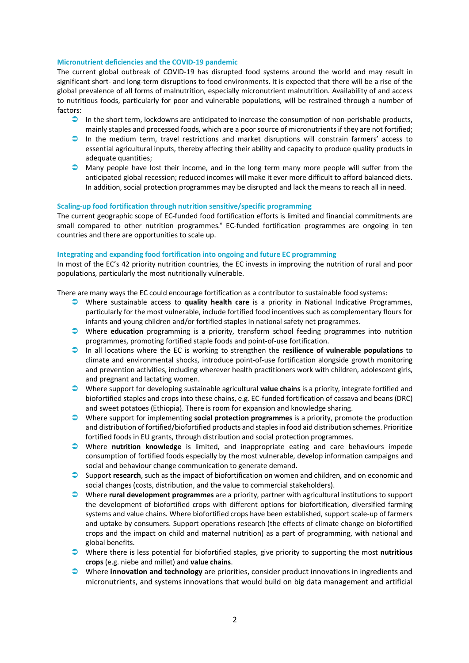#### **Micronutrient deficiencies and the COVID-19 pandemic**

The current global outbreak of COVID-19 has disrupted food systems around the world and may result in significant short- and long-term disruptions to food environments. It is expected that there will be a rise of the global prevalence of all forms of malnutrition, especially micronutrient malnutrition. Availability of and access to nutritious foods, particularly for poor and vulnerable populations, will be restrained through a number of factors:

- $\bullet$  In the short term, lockdowns are anticipated to increase the consumption of non-perishable products, mainly staples and processed foods, which are a poor source of micronutrients if they are not fortified;
- $\Box$  In the medium term, travel restrictions and market disruptions will constrain farmers' access to essential agricultural inputs, thereby affecting their ability and capacity to produce quality products in adequate quantities;
- $\Box$  Many people have lost their income, and in the long term many more people will suffer from the anticipated global recession; reduced incomes will make it ever more difficult to afford balanced diets. In addition, social protection programmes may be disrupted and lack the means to reach all in need.

#### **Scaling-up food fortification through nutrition sensitive/specific programming**

The current geographic scope of EC-funded food fortification efforts is limited and financial commitments are small compared to other nutrition programmes.<sup>v</sup> EC-funded fortification programmes are ongoing in ten countries and there are opportunities to scale up.

## **Integrating and expanding food fortification into ongoing and future EC programming**

In most of the EC's 42 priority nutrition countries, the EC invests in improving the nutrition of rural and poor populations, particularly the most nutritionally vulnerable.

There are many ways the EC could encourage fortification as a contributor to sustainable food systems:

- Ü Where sustainable access to **quality health care** is a priority in National Indicative Programmes, particularly for the most vulnerable, include fortified food incentives such as complementary flours for infants and young children and/or fortified staples in national safety net programmes.
- Ü Where **education** programming is a priority, transform school feeding programmes into nutrition programmes, promoting fortified staple foods and point-of-use fortification.
- Ü In all locations where the EC is working to strengthen the **resilience of vulnerable populations** to climate and environmental shocks, introduce point-of-use fortification alongside growth monitoring and prevention activities, including wherever health practitioners work with children, adolescent girls, and pregnant and lactating women.
- Ü Where support for developing sustainable agricultural **value chains** is a priority, integrate fortified and biofortified staples and crops into these chains, e.g. EC-funded fortification of cassava and beans (DRC) and sweet potatoes (Ethiopia). There is room for expansion and knowledge sharing.
- Ü Where support for implementing **social protection programmes** is a priority, promote the production and distribution of fortified/biofortified products and staples in food aid distribution schemes. Prioritize fortified foods in EU grants, through distribution and social protection programmes.
- Ü Where **nutrition knowledge** is limited, and inappropriate eating and care behaviours impede consumption of fortified foods especially by the most vulnerable, develop information campaigns and social and behaviour change communication to generate demand.
- Ü Support **research**, such as the impact of biofortification on women and children, and on economic and social changes (costs, distribution, and the value to commercial stakeholders).
- Ü Where **rural development programmes** are a priority, partner with agricultural institutions to support the development of biofortified crops with different options for biofortification, diversified farming systems and value chains. Where biofortified crops have been established, support scale-up of farmers and uptake by consumers. Support operations research (the effects of climate change on biofortified crops and the impact on child and maternal nutrition) as a part of programming, with national and global benefits.
- Ü Where there is less potential for biofortified staples, give priority to supporting the most **nutritious crops** (e.g. niebe and millet) and **value chains**.
- Ü Where **innovation and technology** are priorities, consider product innovations in ingredients and micronutrients, and systems innovations that would build on big data management and artificial